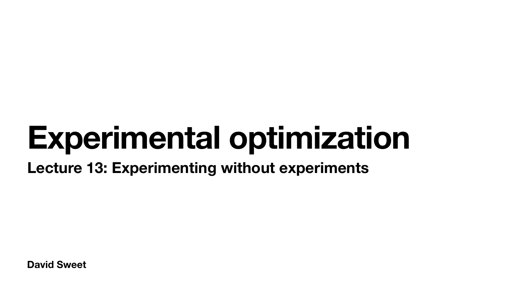**David Sweet**

# **Experimental optimization Lecture 13: Experimenting without experiments**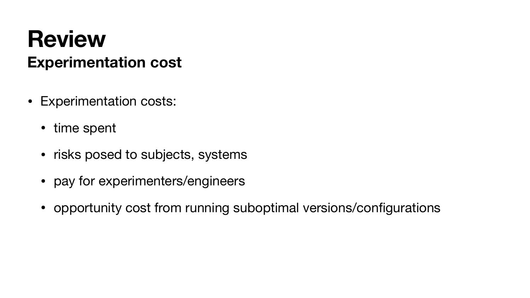### **Review Experimentation cost**

- Experimentation costs:
	- time spent
	- risks posed to subjects, systems
	- pay for experimenters/engineers
	- opportunity cost from running suboptimal versions/configurations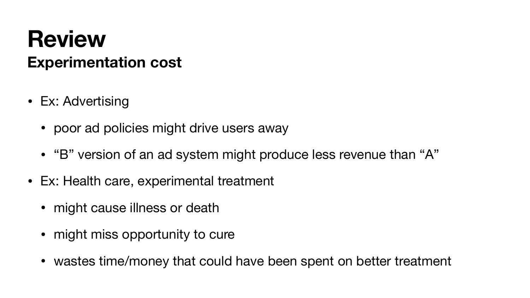- Ex: Advertising
	- poor ad policies might drive users away
	- "B" version of an ad system might produce less revenue than "A"
- Ex: Health care, experimental treatment
	- might cause illness or death
	- might miss opportunity to cure
	- wastes time/money that could have been spent on better treatment

### **Review Experimentation cost**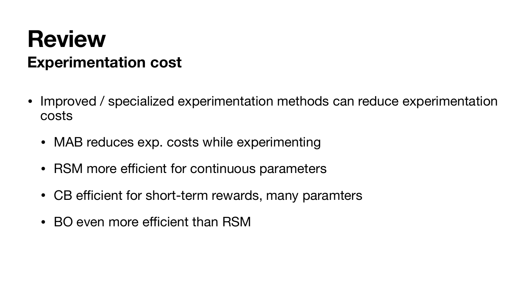- Improved / specialized experimentation methods can reduce experimentation costs
	- MAB reduces exp. costs while experimenting
	- RSM more efficient for continuous parameters
	- CB efficient for short-term rewards, many paramters
	- BO even more efficient than RSM
- 



#### **Review Experimentation cost**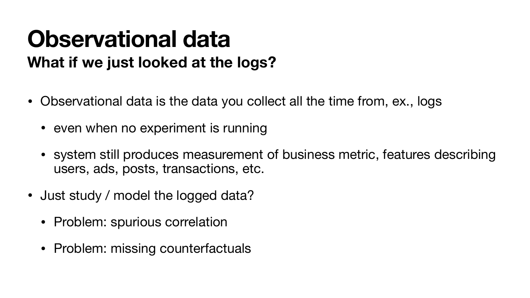## **Observational data What if we just looked at the logs?**

- Observational data is the data you collect all the time from, ex., logs
	- even when no experiment is running
	- system still produces measurement of business metric, features describing users, ads, posts, transactions, etc.
- Just study / model the logged data?
	- Problem: spurious correlation
	- Problem: missing counterfactuals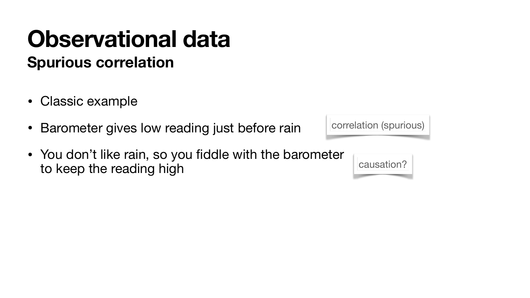### **Spurious correlation Observational data**

- Classic example
- Barometer gives low reading just before rain
- You don't like rain, so you fiddle with the barometer to keep the reading high

correlation (spurious)

causation?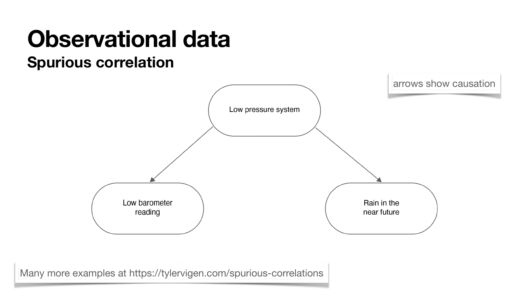#### **Observational data Spurious correlation**



Many more examples at<https://tylervigen.com/spurious-correlations>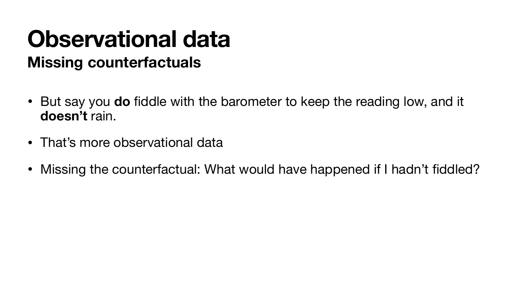- But say you **do** fiddle with the barometer to keep the reading low, and it **doesn't** rain.
- That's more observational data
- 

### **Missing counterfactuals Observational data**

• Missing the counterfactual: What would have happened if I hadn't fiddled?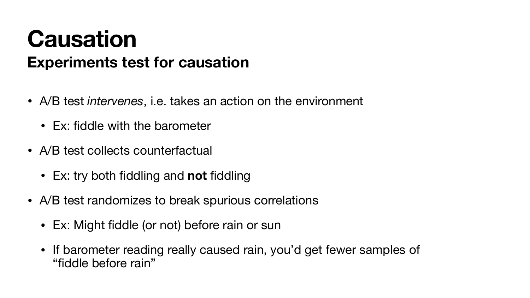## **Causation Experiments test for causation**

- A/B test *intervenes*, i.e. takes an action on the environment
	- Ex: fiddle with the barometer
- A/B test collects counterfactual
	- Ex: try both fiddling and **not** fiddling
- A/B test randomizes to break spurious correlations
	- Ex: Might fiddle (or not) before rain or sun
	- If barometer reading really caused rain, you'd get fewer samples of "fiddle before rain"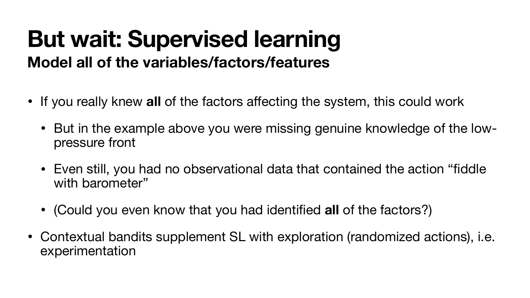#### **But wait: Supervised learning Model all of the variables/factors/features**

- If you really knew **all** of the factors affecting the system, this could work • But in the example above you were missing genuine knowledge of the low
	- pressure front
	- Even still, you had no observational data that contained the action "fiddle with barometer"
	- (Could you even know that you had identified **all** of the factors?)
- Contextual bandits supplement SL with exploration (randomized actions), i.e. experimentation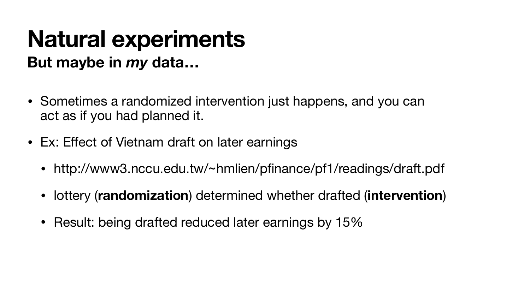### **Natural experiments But maybe in** *my* **data…**

- Sometimes a randomized intervention just happens, and you can act as if you had planned it.
- Ex: Effect of Vietnam draft on later earnings
	- http://www3.nccu.edu.tw/~hmlien/pfinance/pf1/readings/draft.pdf
	- lottery (**randomization**) determined whether drafted (**intervention**)
	- Result: being drafted reduced later earnings by 15%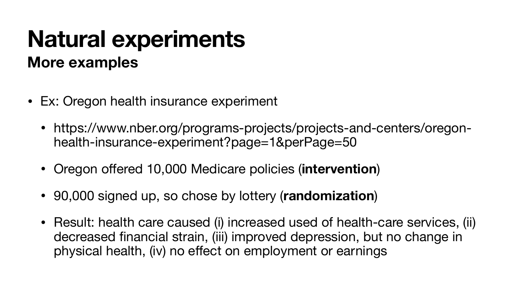- Ex: Oregon health insurance experiment
	- https://www.nber.org/programs-projects/projects-and-centers/oregonhealth-insurance-experiment?page=1&perPage=50
	- Oregon offered 10,000 Medicare policies (**intervention**)
	- 90,000 signed up, so chose by lottery (**randomization**)
	- Result: health care caused (i) increased used of health-care services, (ii) decreased financial strain, (iii) improved depression, but no change in physical health, (iv) no effect on employment or earnings

### **Natural experiments More examples**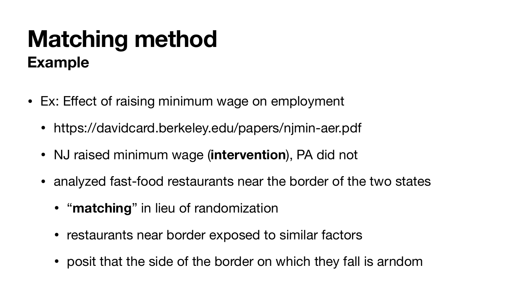## **Matching method Example**

- Ex: Effect of raising minimum wage on employment
	- https://davidcard.berkeley.edu/papers/njmin-aer.pdf
	- NJ raised minimum wage (**intervention**), PA did not
	- analyzed fast-food restaurants near the border of the two states
		- "**matching**" in lieu of randomization
		- restaurants near border exposed to similar factors
		- posit that the side of the border on which they fall is arndom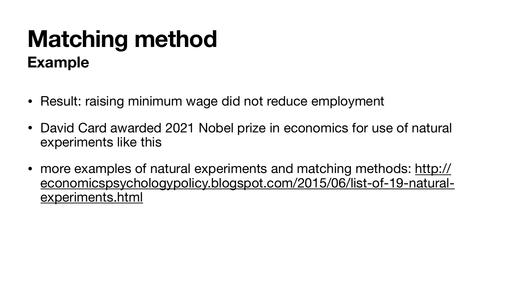- Result: raising minimum wage did not reduce employment
- David Card awarded 2021 Nobel prize in economics for use of natural experiments like this
- more examples of natural experiments and matching methods: [http://](http://economicspsychologypolicy.blogspot.com/2015/06/list-of-19-natural-experiments.html) [economicspsychologypolicy.blogspot.com/2015/06/list-of-19-natural](http://economicspsychologypolicy.blogspot.com/2015/06/list-of-19-natural-experiments.html)[experiments.html](http://economicspsychologypolicy.blogspot.com/2015/06/list-of-19-natural-experiments.html)

## **Matching method Example**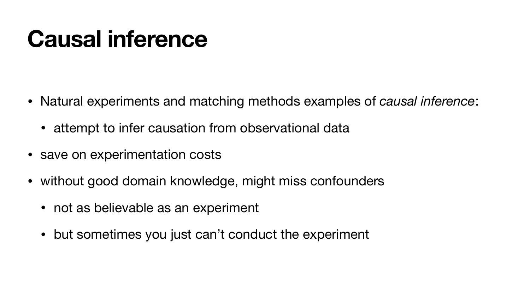# **Causal inference**

- Natural experiments and matching methods examples of *causal inference*: • attempt to infer causation from observational data
- 
- save on experimentation costs
- without good domain knowledge, might miss confounders
	- not as believable as an experiment
	- but sometimes you just can't conduct the experiment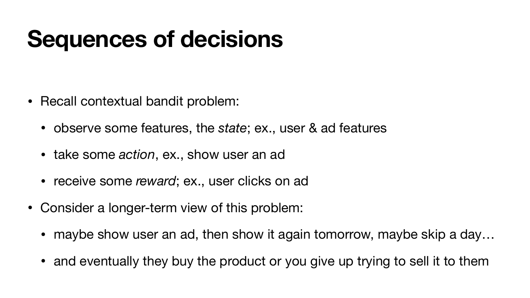# **Sequences of decisions**

- Recall contextual bandit problem:
	- observe some features, the *state*; ex., user & ad features
	- take some *action*, ex., show user an ad
	- receive some *reward*; ex., user clicks on ad
- Consider a longer-term view of this problem:
	- maybe show user an ad, then show it again tomorrow, maybe skip a day...
	- and eventually they buy the product or you give up trying to sell it to them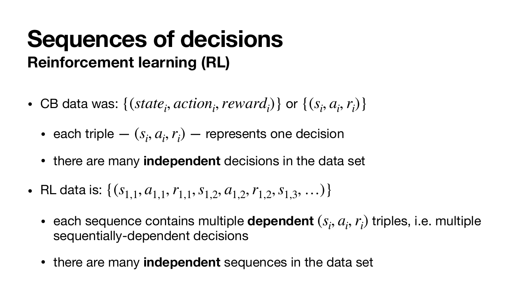- CB data was:  $\{(state_i, action_i, reward_i)\}$  or  $\{(s_i, a_i, r_i)\}$ 
	- each triple  $(s_i, a_i, r_i)$  represents one decision
	- there are many **independent** decisions in the data set
- RL data is:  $\{(s_{1,1}, a_{1,1}, r_{1,1}, s_{1,2}, a_{1,2}, r_{1,2}, s_{1,3}, \ldots)\}\$ 
	- each sequence contains multiple **dependent**  $(s_i, a_i, r_i)$  triples, i.e. multiple sequentially-dependent decisions
	- there are many **independent** sequences in the data set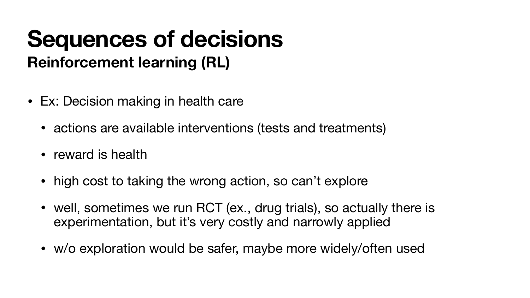- Ex: Decision making in health care
	- actions are available interventions (tests and treatments)
	- reward is health
	- high cost to taking the wrong action, so can't explore
	- well, sometimes we run RCT (ex., drug trials), so actually there is experimentation, but it's very costly and narrowly applied
	- w/o exploration would be safer, maybe more widely/often used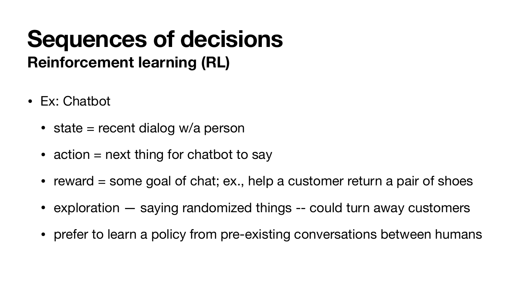- Ex: Chatbot
	- state  $=$  recent dialog w/a person
	- action  $=$  next thing for chatbot to say
	- reward  $=$  some goal of chat; ex., help a customer return a pair of shoes
	- exploration saying randomized things -- could turn away customers
	- prefer to learn a policy from pre-existing conversations between humans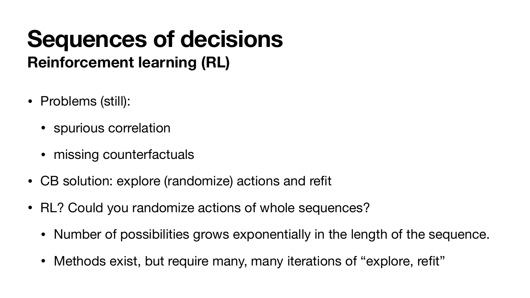- Problems (still):
	- spurious correlation
	- missing counterfactuals
- CB solution: explore (randomize) actions and refit
- RL? Could you randomize actions of whole sequences?
	- Number of possibilities grows exponentially in the length of the sequence.
	- Methods exist, but require many, many iterations of "explore, refit"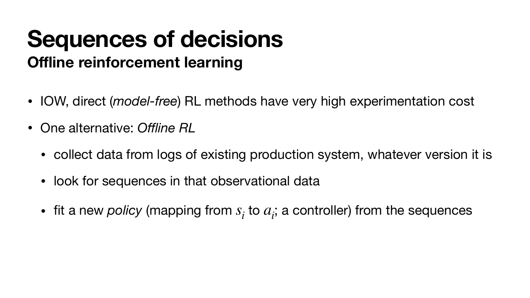### **Sequences of decisions Offline reinforcement learning**

- IOW, direct (*model-free*) RL methods have very high experimentation cost
- One alternative: *Offline RL*
	-
	- collect data from logs of existing production system, whatever version it is • look for sequences in that observational data
	- fit a new *policy* (mapping from  $s_i$  to  $a_i$ ; a controller) from the sequences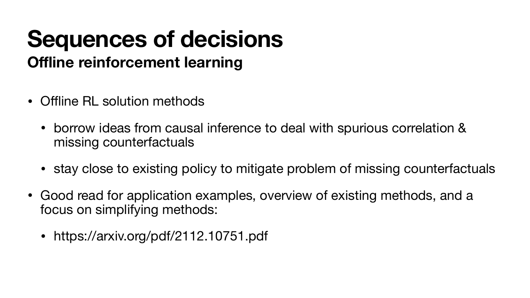• borrow ideas from causal inference to deal with spurious correlation &

• stay close to existing policy to mitigate problem of missing counterfactuals

- Offline RL solution methods
	- missing counterfactuals
	-
- focus on simplifying methods:
	- https://arxiv.org/pdf/2112.10751.pdf

• Good read for application examples, overview of existing methods, and a

### **Sequences of decisions Offline reinforcement learning**